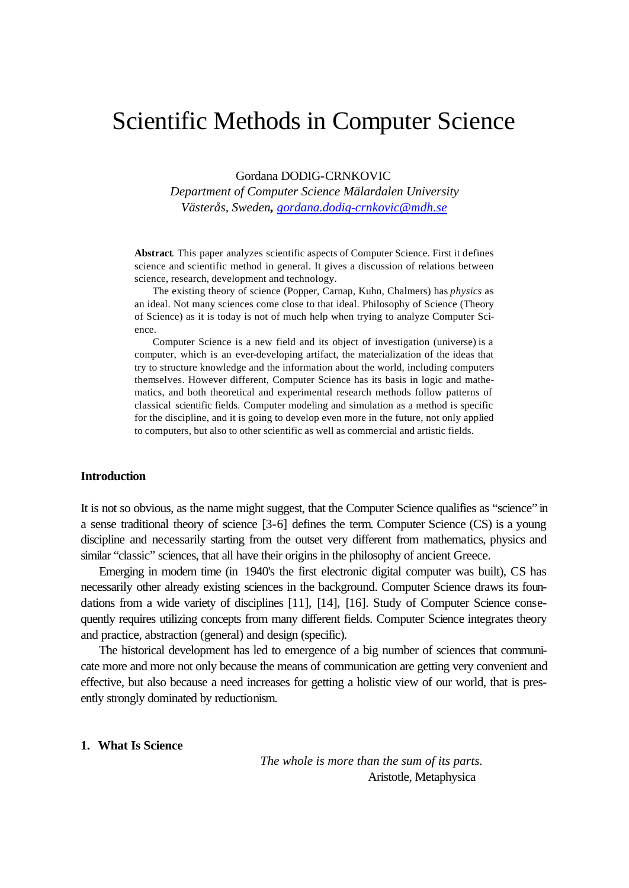# Scientific Methods in Computer Science

Gordana DODIG-CRNKOVIC

*Department of Computer Science Mälardalen University Västerås, Sweden, gordana.dodig-crnkovic@mdh.se*

**Abstract**. This paper analyzes scientific aspects of Computer Science. First it defines science and scientific method in general. It gives a discussion of relations between science, research, development and technology.

The existing theory of science (Popper, Carnap, Kuhn, Chalmers) has *physics* as an ideal. Not many sciences come close to that ideal. Philosophy of Science (Theory of Science) as it is today is not of much help when trying to analyze Computer Science.

Computer Science is a new field and its object of investigation (universe) is a computer, which is an ever-developing artifact, the materialization of the ideas that try to structure knowledge and the information about the world, including computers themselves. However different, Computer Science has its basis in logic and mathematics, and both theoretical and experimental research methods follow patterns of classical scientific fields. Computer modeling and simulation as a method is specific for the discipline, and it is going to develop even more in the future, not only applied to computers, but also to other scientific as well as commercial and artistic fields.

#### **Introduction**

It is not so obvious, as the name might suggest, that the Computer Science qualifies as "science" in a sense traditional theory of science [3-6] defines the term. Computer Science (CS) is a young discipline and necessarily starting from the outset very different from mathematics, physics and similar "classic" sciences, that all have their origins in the philosophy of ancient Greece.

Emerging in modern time (in 1940's the first electronic digital computer was built), CS has necessarily other already existing sciences in the background. Computer Science draws its foundations from a wide variety of disciplines [11], [14], [16]. Study of Computer Science consequently requires utilizing concepts from many different fields. Computer Science integrates theory and practice, abstraction (general) and design (specific).

The historical development has led to emergence of a big number of sciences that communicate more and more not only because the means of communication are getting very convenient and effective, but also because a need increases for getting a holistic view of our world, that is presently strongly dominated by reductionism.

## **1. What Is Science**

*The whole is more than the sum of its parts.* Aristotle, Metaphysica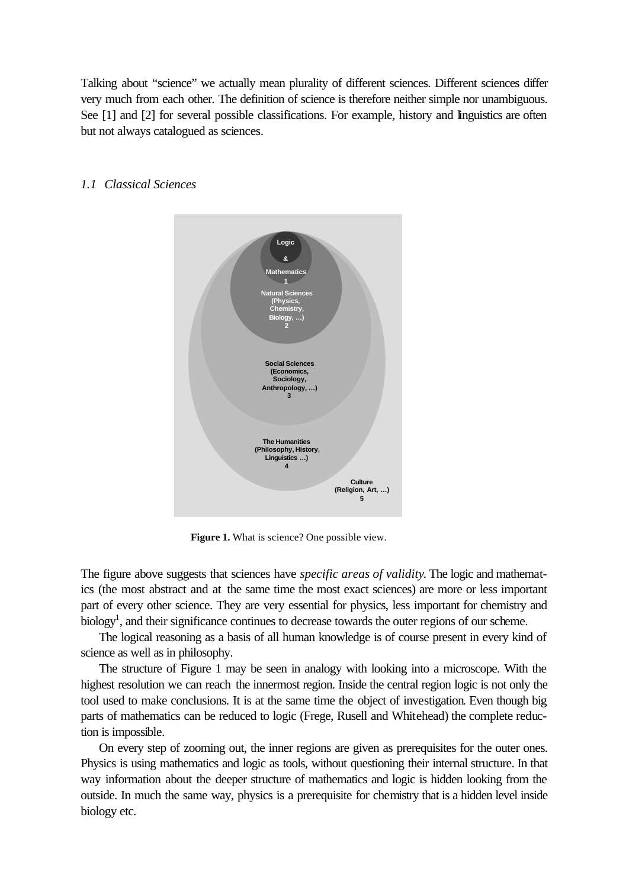Talking about "science" we actually mean plurality of different sciences. Different sciences differ very much from each other. The definition of science is therefore neither simple nor unambiguous. See [1] and [2] for several possible classifications. For example, history and linguistics are often but not always catalogued as sciences.



## *1.1 Classical Sciences*

**Figure 1.** What is science? One possible view.

The figure above suggests that sciences have *specific areas of validity*. The logic and mathematics (the most abstract and at the same time the most exact sciences) are more or less important part of every other science. They are very essential for physics, less important for chemistry and biology<sup>1</sup>, and their significance continues to decrease towards the outer regions of our scheme.

The logical reasoning as a basis of all human knowledge is of course present in every kind of science as well as in philosophy.

The structure of Figure 1 may be seen in analogy with looking into a microscope. With the highest resolution we can reach the innermost region. Inside the central region logic is not only the tool used to make conclusions. It is at the same time the object of investigation. Even though big parts of mathematics can be reduced to logic (Frege, Rusell and Whitehead) the complete reduction is impossible.

On every step of zooming out, the inner regions are given as prerequisites for the outer ones. Physics is using mathematics and logic as tools, without questioning their internal structure. In that way information about the deeper structure of mathematics and logic is hidden looking from the outside. In much the same way, physics is a prerequisite for chemistry that is a hidden level inside biology etc.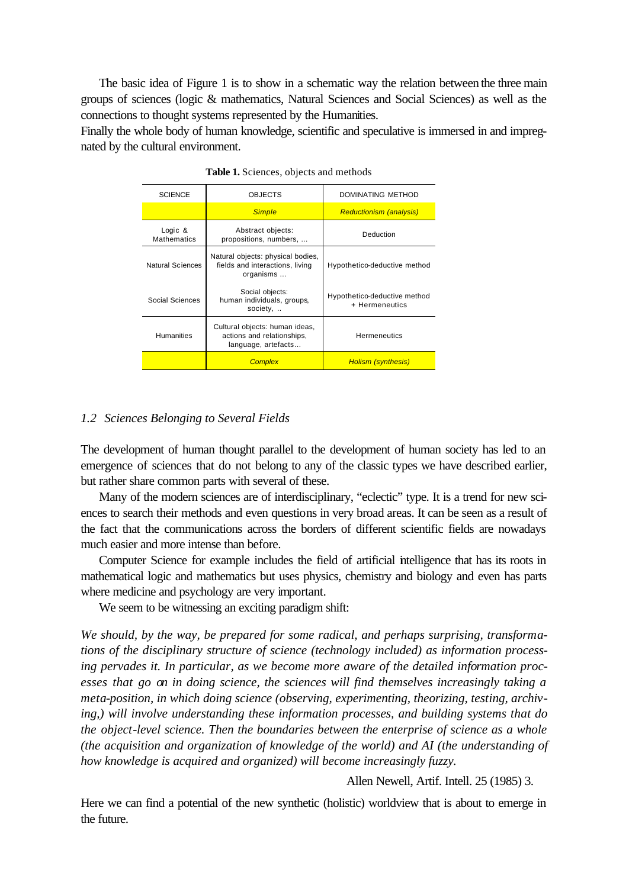The basic idea of Figure 1 is to show in a schematic way the relation between the three main groups of sciences (logic & mathematics, Natural Sciences and Social Sciences) as well as the connections to thought systems represented by the Humanities.

Finally the whole body of human knowledge, scientific and speculative is immersed in and impregnated by the cultural environment.

| <b>SCIENCE</b>                | <b>OBJECTS</b>                                                                      | DOMINATING METHOD                              |
|-------------------------------|-------------------------------------------------------------------------------------|------------------------------------------------|
|                               | <b>Simple</b>                                                                       | <b>Reductionism (analysis)</b>                 |
| Logic &<br><b>Mathematics</b> | Abstract objects:<br>propositions, numbers,                                         | Deduction                                      |
| Natural Sciences              | Natural objects: physical bodies,<br>fields and interactions, living<br>organisms   | Hypothetico-deductive method                   |
| Social Sciences               | Social objects:<br>human individuals, groups,<br>society,                           | Hypothetico-deductive method<br>+ Hermeneutics |
| <b>Humanities</b>             | Cultural objects: human ideas,<br>actions and relationships,<br>language, artefacts | <b>Hermeneutics</b>                            |
|                               | <b>Complex</b>                                                                      | <b>Holism (synthesis)</b>                      |

**Table 1.** Sciences, objects and methods

# *1.2 Sciences Belonging to Several Fields*

The development of human thought parallel to the development of human society has led to an emergence of sciences that do not belong to any of the classic types we have described earlier, but rather share common parts with several of these.

Many of the modern sciences are of interdisciplinary, "eclectic" type. It is a trend for new sciences to search their methods and even questions in very broad areas. It can be seen as a result of the fact that the communications across the borders of different scientific fields are nowadays much easier and more intense than before.

Computer Science for example includes the field of artificial intelligence that has its roots in mathematical logic and mathematics but uses physics, chemistry and biology and even has parts where medicine and psychology are very important.

We seem to be witnessing an exciting paradigm shift:

*We should, by the way, be prepared for some radical, and perhaps surprising, transformations of the disciplinary structure of science (technology included) as information processing pervades it. In particular, as we become more aware of the detailed information processes that go on in doing science, the sciences will find themselves increasingly taking a meta-position, in which doing science (observing, experimenting, theorizing, testing, archiving,) will involve understanding these information processes, and building systems that do the object-level science. Then the boundaries between the enterprise of science as a whole (the acquisition and organization of knowledge of the world) and AI (the understanding of how knowledge is acquired and organized) will become increasingly fuzzy.*

Allen Newell, Artif. Intell. 25 (1985) 3.

Here we can find a potential of the new synthetic (holistic) worldview that is about to emerge in the future.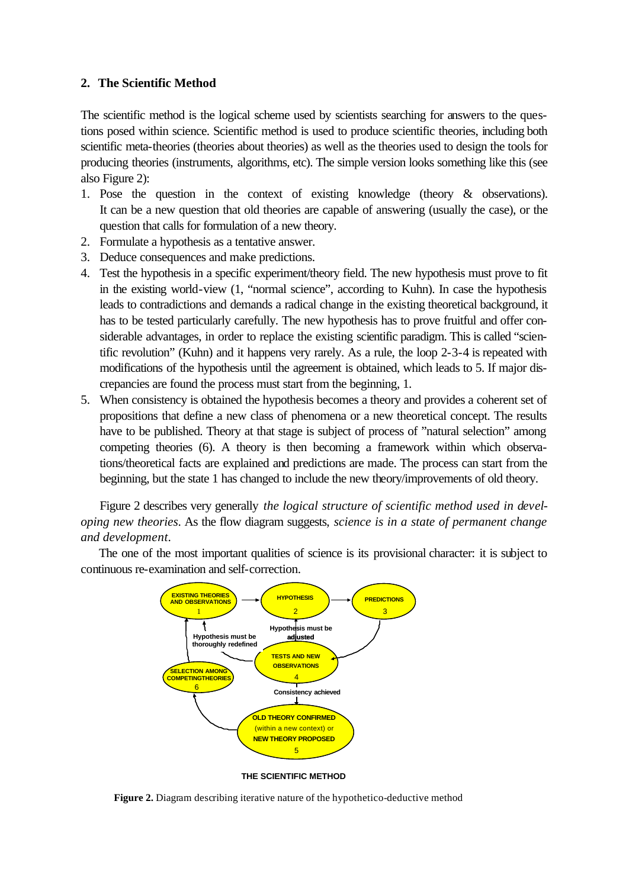# **2. The Scientific Method**

The scientific method is the logical scheme used by scientists searching for answers to the questions posed within science. Scientific method is used to produce scientific theories, including both scientific meta-theories (theories about theories) as well as the theories used to design the tools for producing theories (instruments, algorithms, etc). The simple version looks something like this (see also Figure 2):

- 1. Pose the question in the context of existing knowledge (theory & observations). It can be a new question that old theories are capable of answering (usually the case), or the question that calls for formulation of a new theory.
- 2. Formulate a hypothesis as a tentative answer.
- 3. Deduce consequences and make predictions.
- 4. Test the hypothesis in a specific experiment/theory field. The new hypothesis must prove to fit in the existing world-view (1, "normal science", according to Kuhn). In case the hypothesis leads to contradictions and demands a radical change in the existing theoretical background, it has to be tested particularly carefully. The new hypothesis has to prove fruitful and offer considerable advantages, in order to replace the existing scientific paradigm. This is called "scientific revolution" (Kuhn) and it happens very rarely. As a rule, the loop 2-3-4 is repeated with modifications of the hypothesis until the agreement is obtained, which leads to 5. If major discrepancies are found the process must start from the beginning, 1.
- 5. When consistency is obtained the hypothesis becomes a theory and provides a coherent set of propositions that define a new class of phenomena or a new theoretical concept. The results have to be published. Theory at that stage is subject of process of "natural selection" among competing theories (6). A theory is then becoming a framework within which observations/theoretical facts are explained and predictions are made. The process can start from the beginning, but the state 1 has changed to include the new theory/improvements of old theory.

Figure 2 describes very generally *the logical structure of scientific method used in developing new theories*. As the flow diagram suggests, *science is in a state of permanent change and development.*

The one of the most important qualities of science is its provisional character: it is subject to continuous re-examination and self-correction.



**THE SCIENTIFIC METHOD**

**Figure 2.** Diagram describing iterative nature of the hypothetico-deductive method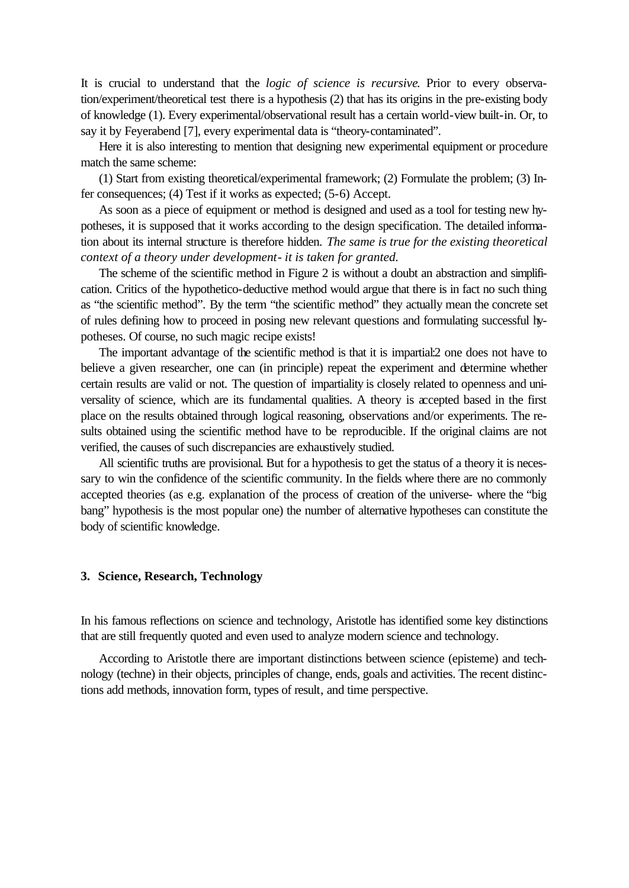It is crucial to understand that the *logic of science is recursive*. Prior to every observation/experiment/theoretical test there is a hypothesis (2) that has its origins in the pre-existing body of knowledge (1). Every experimental/observational result has a certain world-view built-in. Or, to say it by Feyerabend [7], every experimental data is "theory-contaminated".

Here it is also interesting to mention that designing new experimental equipment or procedure match the same scheme:

(1) Start from existing theoretical/experimental framework; (2) Formulate the problem; (3) Infer consequences; (4) Test if it works as expected; (5-6) Accept.

As soon as a piece of equipment or method is designed and used as a tool for testing new hypotheses, it is supposed that it works according to the design specification. The detailed information about its internal structure is therefore hidden. *The same is true for the existing theoretical context of a theory under development- it is taken for granted.*

The scheme of the scientific method in Figure 2 is without a doubt an abstraction and simplification. Critics of the hypothetico-deductive method would argue that there is in fact no such thing as "the scientific method". By the term "the scientific method" they actually mean the concrete set of rules defining how to proceed in posing new relevant questions and formulating successful hypotheses. Of course, no such magic recipe exists!

The important advantage of the scientific method is that it is impartial:2 one does not have to believe a given researcher, one can (in principle) repeat the experiment and determine whether certain results are valid or not. The question of impartiality is closely related to openness and universality of science, which are its fundamental qualities. A theory is accepted based in the first place on the results obtained through logical reasoning, observations and/or experiments. The results obtained using the scientific method have to be reproducible. If the original claims are not verified, the causes of such discrepancies are exhaustively studied.

All scientific truths are provisional. But for a hypothesis to get the status of a theory it is necessary to win the confidence of the scientific community. In the fields where there are no commonly accepted theories (as e.g. explanation of the process of creation of the universe- where the "big bang" hypothesis is the most popular one) the number of alternative hypotheses can constitute the body of scientific knowledge.

## **3. Science, Research, Technology**

In his famous reflections on science and technology, Aristotle has identified some key distinctions that are still frequently quoted and even used to analyze modern science and technology.

According to Aristotle there are important distinctions between science (episteme) and technology (techne) in their objects, principles of change, ends, goals and activities. The recent distinctions add methods, innovation form, types of result, and time perspective.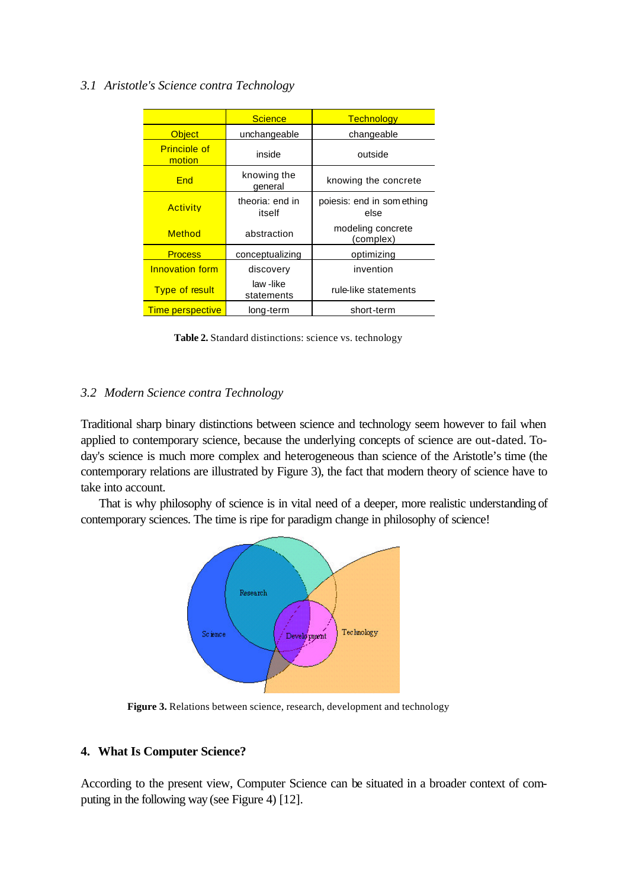# *3.1 Aristotle's Science contra Technology*

|                               | <b>Science</b>            | <b>Technology</b>                  |
|-------------------------------|---------------------------|------------------------------------|
| <b>Object</b>                 | unchangeable              | changeable                         |
| <b>Principle of</b><br>motion | inside                    | outside                            |
| <b>Fnd</b>                    | knowing the<br>general    | knowing the concrete               |
| <b>Activity</b>               | theoria: end in<br>itself | poiesis: end in som ething<br>else |
| Method                        | abstraction               | modeling concrete<br>(complex)     |
| <b>Process</b>                | conceptualizing           | optimizing                         |
| <b>Innovation form</b>        | discovery                 | invention                          |
| <b>Type of result</b>         | law-like<br>statements    | rule-like statements               |
| <b>Time perspective</b>       | long-term                 | short-term                         |

**Table 2.** Standard distinctions: science vs. technology

# *3.2 Modern Science contra Technology*

Traditional sharp binary distinctions between science and technology seem however to fail when applied to contemporary science, because the underlying concepts of science are out-dated. Today's science is much more complex and heterogeneous than science of the Aristotle's time (the contemporary relations are illustrated by Figure 3), the fact that modern theory of science have to take into account.

That is why philosophy of science is in vital need of a deeper, more realistic understanding of contemporary sciences. The time is ripe for paradigm change in philosophy of science!



**Figure 3.** Relations between science, research, development and technology

# **4. What Is Computer Science?**

According to the present view, Computer Science can be situated in a broader context of computing in the following way (see Figure 4) [12].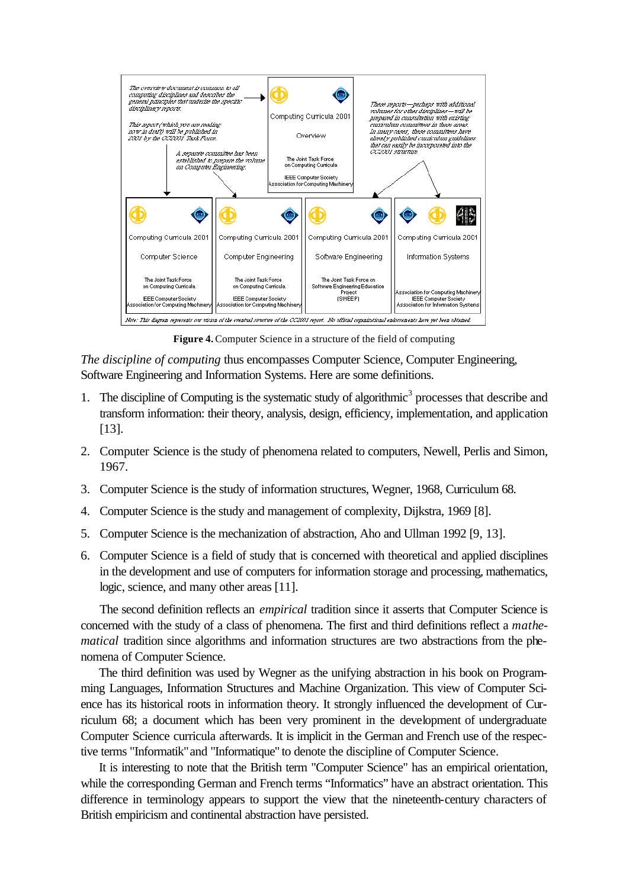

**Figure 4.** Computer Science in a structure of the field of computing

*The discipline of computing* thus encompasses Computer Science, Computer Engineering, Software Engineering and Information Systems. Here are some definitions.

- 1. The discipline of Computing is the systematic study of algorithmic<sup>3</sup> processes that describe and transform information: their theory, analysis, design, efficiency, implementation, and application [13].
- 2. Computer Science is the study of phenomena related to computers, Newell, Perlis and Simon, 1967.
- 3. Computer Science is the study of information structures, Wegner, 1968, Curriculum 68.
- 4. Computer Science is the study and management of complexity, Dijkstra, 1969 [8].
- 5. Computer Science is the mechanization of abstraction, Aho and Ullman 1992 [9, 13].
- 6. Computer Science is a field of study that is concerned with theoretical and applied disciplines in the development and use of computers for information storage and processing, mathematics, logic, science, and many other areas [11].

The second definition reflects an *empirical* tradition since it asserts that Computer Science is concerned with the study of a class of phenomena. The first and third definitions reflect a *mathematical* tradition since algorithms and information structures are two abstractions from the phenomena of Computer Science.

The third definition was used by Wegner as the unifying abstraction in his book on Programming Languages, Information Structures and Machine Organization. This view of Computer Science has its historical roots in information theory. It strongly influenced the development of Curriculum 68; a document which has been very prominent in the development of undergraduate Computer Science curricula afterwards. It is implicit in the German and French use of the respective terms "Informatik" and "Informatique" to denote the discipline of Computer Science.

It is interesting to note that the British term "Computer Science" has an empirical orientation, while the corresponding German and French terms "Informatics" have an abstract orientation. This difference in terminology appears to support the view that the nineteenth-century characters of British empiricism and continental abstraction have persisted.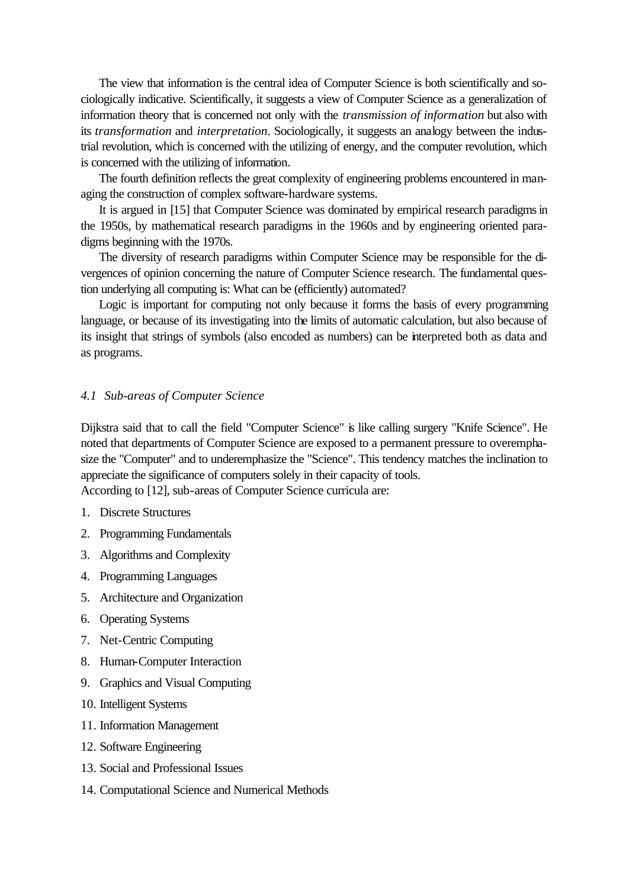The view that information is the central idea of Computer Science is both scientifically and sociologically indicative. Scientifically, it suggests a view of Computer Science as a generalization of information theory that is concerned not only with the *transmission of information* but also with its *transformation* and *interpretation*. Sociologically, it suggests an analogy between the industrial revolution, which is concerned with the utilizing of energy, and the computer revolution, which is concerned with the utilizing of information.

The fourth definition reflects the great complexity of engineering problems encountered in managing the construction of complex software-hardware systems.

It is argued in [15] that Computer Science was dominated by empirical research paradigms in the 1950s, by mathematical research paradigms in the 1960s and by engineering oriented paradigms beginning with the 1970s.

The diversity of research paradigms within Computer Science may be responsible for the divergences of opinion concerning the nature of Computer Science research. The fundamental question underlying all computing is: What can be (efficiently) automated?

Logic is important for computing not only because it forms the basis of every programming language, or because of its investigating into the limits of automatic calculation, but also because of its insight that strings of symbols (also encoded as numbers) can be interpreted both as data and as programs.

## *4.1 Sub-areas of Computer Science*

Dijkstra said that to call the field "Computer Science" is like calling surgery "Knife Science". He noted that departments of Computer Science are exposed to a permanent pressure to overemphasize the "Computer" and to underemphasize the "Science". This tendency matches the inclination to appreciate the significance of computers solely in their capacity of tools. According to [12], sub-areas of Computer Science curricula are:

- 1. Discrete Structures
- 2. Programming Fundamentals
- 3. Algorithms and Complexity
- 4. Programming Languages
- 5. Architecture and Organization
- 6. Operating Systems
- 7. Net-Centric Computing
- 8. Human-Computer Interaction
- 9. Graphics and Visual Computing
- 10. Intelligent Systems
- 11. Information Management
- 12. Software Engineering
- 13. Social and Professional Issues
- 14. Computational Science and Numerical Methods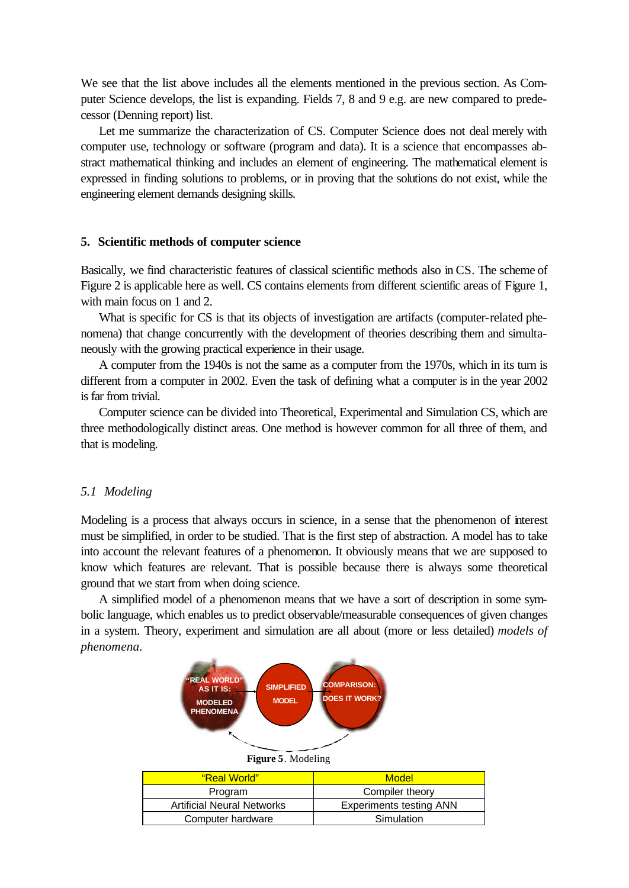We see that the list above includes all the elements mentioned in the previous section. As Computer Science develops, the list is expanding. Fields 7, 8 and 9 e.g. are new compared to predecessor (Denning report) list.

Let me summarize the characterization of CS. Computer Science does not deal merely with computer use, technology or software (program and data). It is a science that encompasses abstract mathematical thinking and includes an element of engineering. The mathematical element is expressed in finding solutions to problems, or in proving that the solutions do not exist, while the engineering element demands designing skills.

#### **5. Scientific methods of computer science**

Basically, we find characteristic features of classical scientific methods also in CS. The scheme of Figure 2 is applicable here as well. CS contains elements from different scientific areas of Figure 1, with main focus on 1 and 2.

What is specific for CS is that its objects of investigation are artifacts (computer-related phenomena) that change concurrently with the development of theories describing them and simultaneously with the growing practical experience in their usage.

A computer from the 1940s is not the same as a computer from the 1970s, which in its turn is different from a computer in 2002. Even the task of defining what a computer is in the year 2002 is far from trivial.

Computer science can be divided into Theoretical, Experimental and Simulation CS, which are three methodologically distinct areas. One method is however common for all three of them, and that is modeling.

# *5.1 Modeling*

Modeling is a process that always occurs in science, in a sense that the phenomenon of interest must be simplified, in order to be studied. That is the first step of abstraction. A model has to take into account the relevant features of a phenomenon. It obviously means that we are supposed to know which features are relevant. That is possible because there is always some theoretical ground that we start from when doing science.

A simplified model of a phenomenon means that we have a sort of description in some symbolic language, which enables us to predict observable/measurable consequences of given changes in a system. Theory, experiment and simulation are all about (more or less detailed) *models of phenomena*.



| <u>"Real World"</u>               | Model                          |
|-----------------------------------|--------------------------------|
| Program                           | Compiler theory                |
| <b>Artificial Neural Networks</b> | <b>Experiments testing ANN</b> |
| Computer hardware                 | Simulation                     |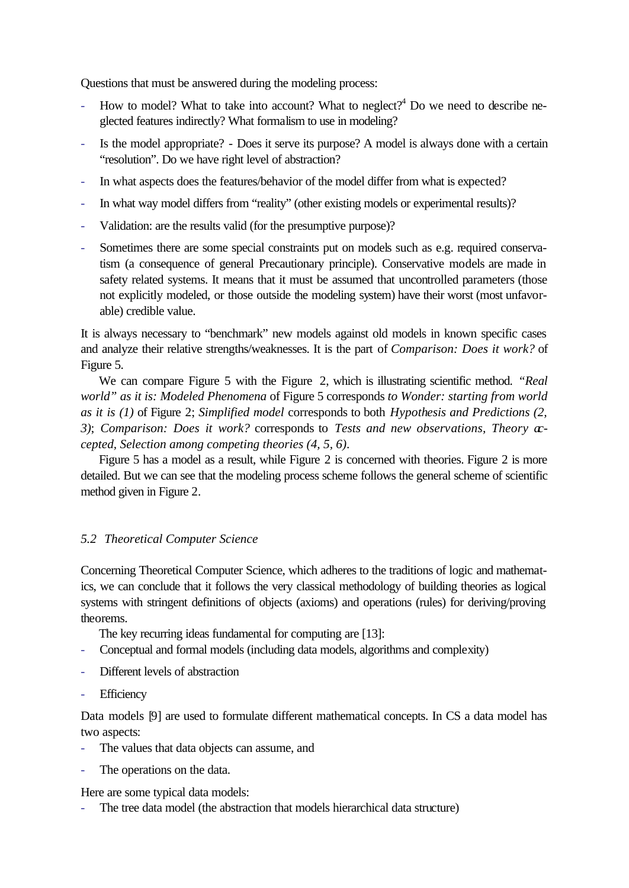Questions that must be answered during the modeling process:

- How to model? What to take into account? What to neglect?<sup>4</sup> Do we need to describe neglected features indirectly? What formalism to use in modeling?
- Is the model appropriate? Does it serve its purpose? A model is always done with a certain "resolution". Do we have right level of abstraction?
- In what aspects does the features/behavior of the model differ from what is expected?
- In what way model differs from "reality" (other existing models or experimental results)?
- Validation: are the results valid (for the presumptive purpose)?
- Sometimes there are some special constraints put on models such as e.g. required conservatism (a consequence of general Precautionary principle). Conservative models are made in safety related systems. It means that it must be assumed that uncontrolled parameters (those not explicitly modeled, or those outside the modeling system) have their worst (most unfavorable) credible value.

It is always necessary to "benchmark" new models against old models in known specific cases and analyze their relative strengths/weaknesses. It is the part of *Comparison: Does it work?* of Figure 5.

We can compare Figure 5 with the Figure 2, which is illustrating scientific method. *"Real world" as it is: Modeled Phenomena* of Figure 5 corresponds *to Wonder: starting from world as it is (1)* of Figure 2; *Simplified model* corresponds to both *Hypothesis and Predictions (2, 3)*; *Comparison: Does it work?* corresponds to *Tests and new observations, Theory accepted, Selection among competing theories (4, 5, 6)*.

Figure 5 has a model as a result, while Figure 2 is concerned with theories. Figure 2 is more detailed. But we can see that the modeling process scheme follows the general scheme of scientific method given in Figure 2.

# *5.2 Theoretical Computer Science*

Concerning Theoretical Computer Science, which adheres to the traditions of logic and mathematics, we can conclude that it follows the very classical methodology of building theories as logical systems with stringent definitions of objects (axioms) and operations (rules) for deriving/proving theorems.

The key recurring ideas fundamental for computing are [13]:

- Conceptual and formal models (including data models, algorithms and complexity)
- Different levels of abstraction
- **Efficiency**

Data models [9] are used to formulate different mathematical concepts. In CS a data model has two aspects:

- The values that data objects can assume, and
- The operations on the data.

Here are some typical data models:

The tree data model (the abstraction that models hierarchical data structure)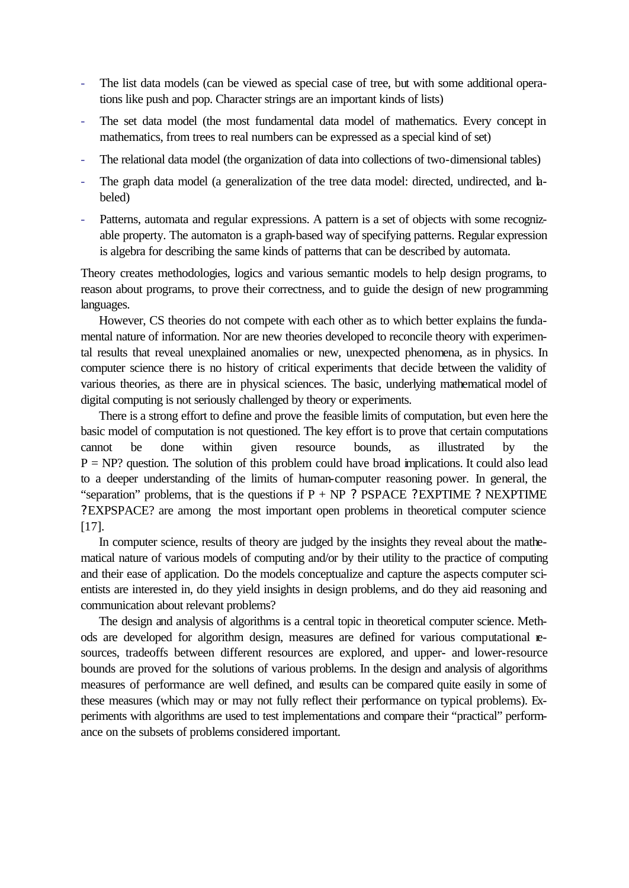- The list data models (can be viewed as special case of tree, but with some additional operations like push and pop. Character strings are an important kinds of lists)
- The set data model (the most fundamental data model of mathematics. Every concept in mathematics, from trees to real numbers can be expressed as a special kind of set)
- The relational data model (the organization of data into collections of two-dimensional tables)
- The graph data model (a generalization of the tree data model: directed, undirected, and labeled)
- Patterns, automata and regular expressions. A pattern is a set of objects with some recognizable property. The automaton is a graph-based way of specifying patterns. Regular expression is algebra for describing the same kinds of patterns that can be described by automata.

Theory creates methodologies, logics and various semantic models to help design programs, to reason about programs, to prove their correctness, and to guide the design of new programming languages.

However, CS theories do not compete with each other as to which better explains the fundamental nature of information. Nor are new theories developed to reconcile theory with experimental results that reveal unexplained anomalies or new, unexpected phenomena, as in physics. In computer science there is no history of critical experiments that decide between the validity of various theories, as there are in physical sciences. The basic, underlying mathematical model of digital computing is not seriously challenged by theory or experiments.

There is a strong effort to define and prove the feasible limits of computation, but even here the basic model of computation is not questioned. The key effort is to prove that certain computations cannot be done within given resource bounds, as illustrated by the  $P = NP$ ? question. The solution of this problem could have broad implications. It could also lead to a deeper understanding of the limits of human-computer reasoning power. In general, the "separation" problems, that is the questions if  $P + NP$  ? PSPACE ? EXPTIME ? NEXPTIME ?EXPSPACE? are among the most important open problems in theoretical computer science [17].

In computer science, results of theory are judged by the insights they reveal about the mathematical nature of various models of computing and/or by their utility to the practice of computing and their ease of application. Do the models conceptualize and capture the aspects computer scientists are interested in, do they yield insights in design problems, and do they aid reasoning and communication about relevant problems?

The design and analysis of algorithms is a central topic in theoretical computer science. Methods are developed for algorithm design, measures are defined for various computational resources, tradeoffs between different resources are explored, and upper- and lower-resource bounds are proved for the solutions of various problems. In the design and analysis of algorithms measures of performance are well defined, and results can be compared quite easily in some of these measures (which may or may not fully reflect their performance on typical problems). Experiments with algorithms are used to test implementations and compare their "practical" performance on the subsets of problems considered important.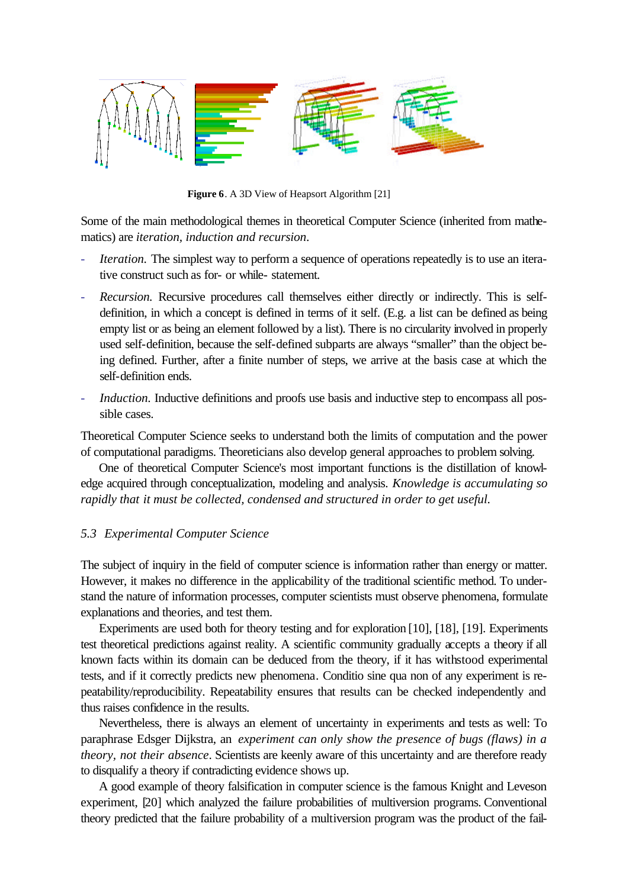

**Figure 6**. A 3D View of Heapsort Algorithm [21]

Some of the main methodological themes in theoretical Computer Science (inherited from mathematics) are *iteration, induction and recursion*.

- *Iteration.* The simplest way to perform a sequence of operations repeatedly is to use an iterative construct such as for- or while- statement.
- *Recursion.* Recursive procedures call themselves either directly or indirectly. This is selfdefinition, in which a concept is defined in terms of it self. (E.g. a list can be defined as being empty list or as being an element followed by a list). There is no circularity involved in properly used self-definition, because the self-defined subparts are always "smaller" than the object being defined. Further, after a finite number of steps, we arrive at the basis case at which the self-definition ends.
- *Induction.* Inductive definitions and proofs use basis and inductive step to encompass all possible cases.

Theoretical Computer Science seeks to understand both the limits of computation and the power of computational paradigms. Theoreticians also develop general approaches to problem solving.

One of theoretical Computer Science's most important functions is the distillation of knowledge acquired through conceptualization, modeling and analysis. *Knowledge is accumulating so rapidly that it must be collected, condensed and structured in order to get useful.*

## *5.3 Experimental Computer Science*

The subject of inquiry in the field of computer science is information rather than energy or matter. However, it makes no difference in the applicability of the traditional scientific method. To understand the nature of information processes, computer scientists must observe phenomena, formulate explanations and theories, and test them.

Experiments are used both for theory testing and for exploration [10], [18], [19]. Experiments test theoretical predictions against reality. A scientific community gradually accepts a theory if all known facts within its domain can be deduced from the theory, if it has withstood experimental tests, and if it correctly predicts new phenomena. Conditio sine qua non of any experiment is repeatability/reproducibility. Repeatability ensures that results can be checked independently and thus raises confidence in the results.

Nevertheless, there is always an element of uncertainty in experiments and tests as well: To paraphrase Edsger Dijkstra, an *experiment can only show the presence of bugs (flaws) in a theory, not their absence*. Scientists are keenly aware of this uncertainty and are therefore ready to disqualify a theory if contradicting evidence shows up.

A good example of theory falsification in computer science is the famous Knight and Leveson experiment, [20] which analyzed the failure probabilities of multiversion programs. Conventional theory predicted that the failure probability of a multiversion program was the product of the fail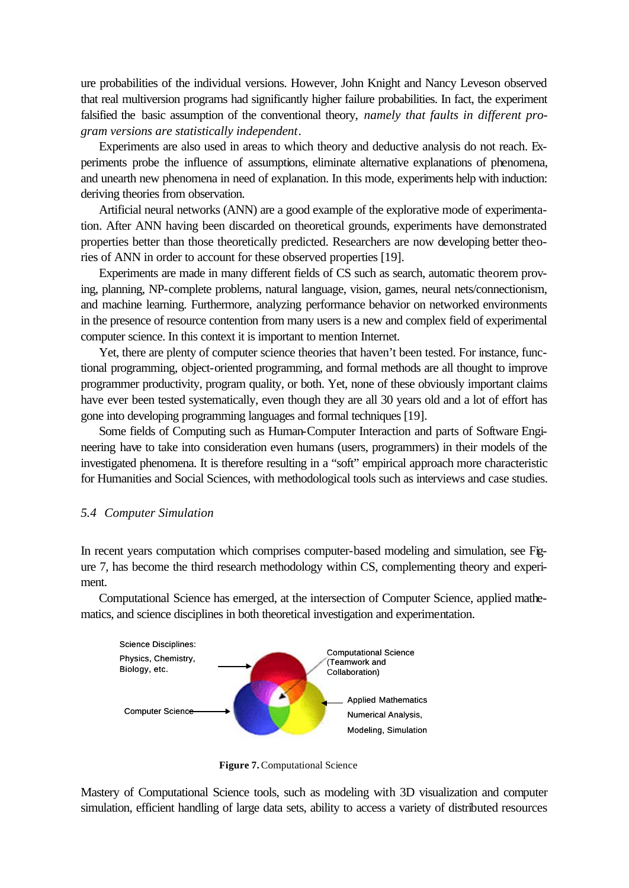ure probabilities of the individual versions. However, John Knight and Nancy Leveson observed that real multiversion programs had significantly higher failure probabilities. In fact, the experiment falsified the basic assumption of the conventional theory, *namely that faults in different program versions are statistically independent*.

Experiments are also used in areas to which theory and deductive analysis do not reach. Experiments probe the influence of assumptions, eliminate alternative explanations of phenomena, and unearth new phenomena in need of explanation. In this mode, experiments help with induction: deriving theories from observation.

Artificial neural networks (ANN) are a good example of the explorative mode of experimentation. After ANN having been discarded on theoretical grounds, experiments have demonstrated properties better than those theoretically predicted. Researchers are now developing better theories of ANN in order to account for these observed properties [19].

Experiments are made in many different fields of CS such as search, automatic theorem proving, planning, NP-complete problems, natural language, vision, games, neural nets/connectionism, and machine learning. Furthermore, analyzing performance behavior on networked environments in the presence of resource contention from many users is a new and complex field of experimental computer science. In this context it is important to mention Internet.

Yet, there are plenty of computer science theories that haven't been tested. For instance, functional programming, object-oriented programming, and formal methods are all thought to improve programmer productivity, program quality, or both. Yet, none of these obviously important claims have ever been tested systematically, even though they are all 30 years old and a lot of effort has gone into developing programming languages and formal techniques [19].

Some fields of Computing such as Human-Computer Interaction and parts of Software Engineering have to take into consideration even humans (users, programmers) in their models of the investigated phenomena. It is therefore resulting in a "soft" empirical approach more characteristic for Humanities and Social Sciences, with methodological tools such as interviews and case studies.

## *5.4 Computer Simulation*

In recent years computation which comprises computer-based modeling and simulation, see Figure 7, has become the third research methodology within CS, complementing theory and experiment.

Computational Science has emerged, at the intersection of Computer Science, applied mathematics, and science disciplines in both theoretical investigation and experimentation.



**Figure 7.** Computational Science

Mastery of Computational Science tools, such as modeling with 3D visualization and computer simulation, efficient handling of large data sets, ability to access a variety of distributed resources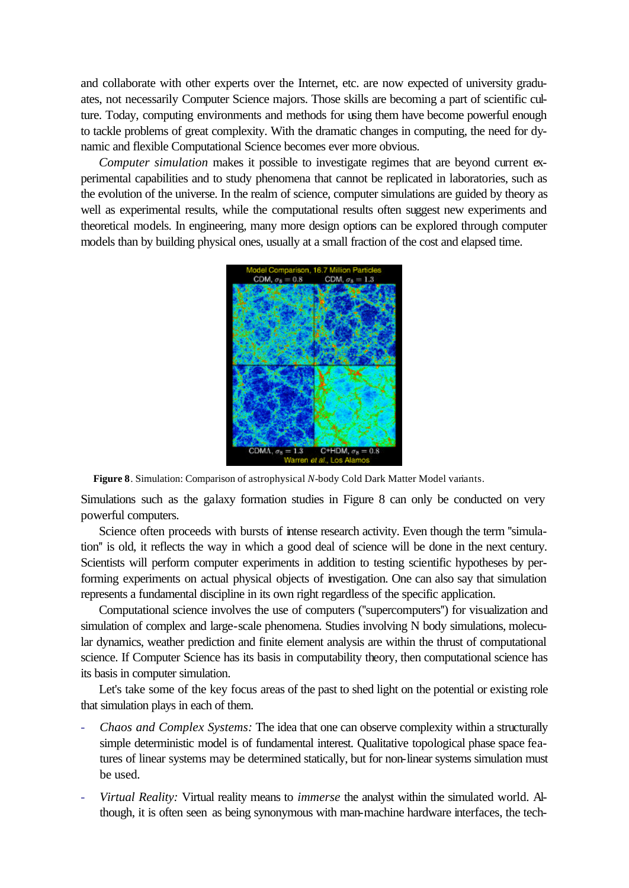and collaborate with other experts over the Internet, etc. are now expected of university graduates, not necessarily Computer Science majors. Those skills are becoming a part of scientific culture. Today, computing environments and methods for using them have become powerful enough to tackle problems of great complexity. With the dramatic changes in computing, the need for dynamic and flexible Computational Science becomes ever more obvious.

*Computer simulation* makes it possible to investigate regimes that are beyond current experimental capabilities and to study phenomena that cannot be replicated in laboratories, such as the evolution of the universe. In the realm of science, computer simulations are guided by theory as well as experimental results, while the computational results often suggest new experiments and theoretical models. In engineering, many more design options can be explored through computer models than by building physical ones, usually at a small fraction of the cost and elapsed time.



**Figure 8**. Simulation: Comparison of astrophysical *N*-body Cold Dark Matter Model variants.

Simulations such as the galaxy formation studies in Figure 8 can only be conducted on very powerful computers.

Science often proceeds with bursts of intense research activity. Even though the term "simulation'' is old, it reflects the way in which a good deal of science will be done in the next century. Scientists will perform computer experiments in addition to testing scientific hypotheses by performing experiments on actual physical objects of investigation. One can also say that simulation represents a fundamental discipline in its own right regardless of the specific application.

Computational science involves the use of computers (''supercomputers'') for visualization and simulation of complex and large-scale phenomena. Studies involving N body simulations, molecular dynamics, weather prediction and finite element analysis are within the thrust of computational science. If Computer Science has its basis in computability theory, then computational science has its basis in computer simulation.

Let's take some of the key focus areas of the past to shed light on the potential or existing role that simulation plays in each of them.

- *Chaos and Complex Systems:* The idea that one can observe complexity within a structurally simple deterministic model is of fundamental interest. Qualitative topological phase space features of linear systems may be determined statically, but for non-linear systems simulation must be used.
- *Virtual Reality:* Virtual reality means to *immerse* the analyst within the simulated world. Although, it is often seen as being synonymous with man-machine hardware interfaces, the tech-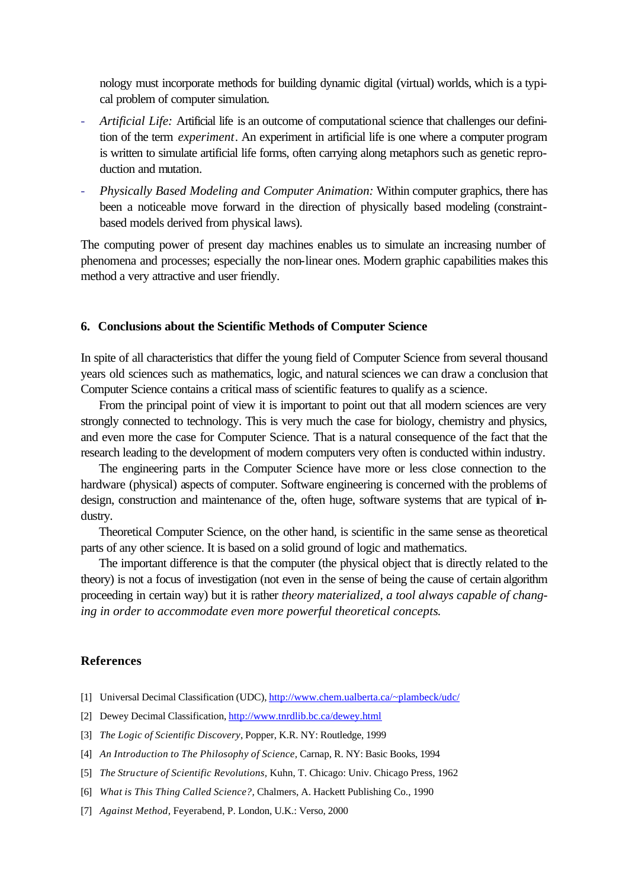nology must incorporate methods for building dynamic digital (virtual) worlds, which is a typical problem of computer simulation.

- *Artificial Life:* Artificial life is an outcome of computational science that challenges our definition of the term *experiment*. An experiment in artificial life is one where a computer program is written to simulate artificial life forms, often carrying along metaphors such as genetic reproduction and mutation.
- *Physically Based Modeling and Computer Animation:* Within computer graphics, there has been a noticeable move forward in the direction of physically based modeling (constraintbased models derived from physical laws).

The computing power of present day machines enables us to simulate an increasing number of phenomena and processes; especially the non-linear ones. Modern graphic capabilities makes this method a very attractive and user friendly.

## **6. Conclusions about the Scientific Methods of Computer Science**

In spite of all characteristics that differ the young field of Computer Science from several thousand years old sciences such as mathematics, logic, and natural sciences we can draw a conclusion that Computer Science contains a critical mass of scientific features to qualify as a science.

From the principal point of view it is important to point out that all modern sciences are very strongly connected to technology. This is very much the case for biology, chemistry and physics, and even more the case for Computer Science. That is a natural consequence of the fact that the research leading to the development of modern computers very often is conducted within industry.

The engineering parts in the Computer Science have more or less close connection to the hardware (physical) aspects of computer. Software engineering is concerned with the problems of design, construction and maintenance of the, often huge, software systems that are typical of industry.

Theoretical Computer Science, on the other hand, is scientific in the same sense as theoretical parts of any other science. It is based on a solid ground of logic and mathematics.

The important difference is that the computer (the physical object that is directly related to the theory) is not a focus of investigation (not even in the sense of being the cause of certain algorithm proceeding in certain way) but it is rather *theory materialized, a tool always capable of changing in order to accommodate even more powerful theoretical concepts*.

#### **References**

- [1] Universal Decimal Classification (UDC), http://www.chem.ualberta.ca/~plambeck/udc/
- [2] Dewey Decimal Classification, http://www.tnrdlib.bc.ca/dewey.html
- [3] *The Logic of Scientific Discovery*, Popper, K.R. NY: Routledge, 1999
- [4] *An Introduction to The Philosophy of Science,* Carnap, R. NY: Basic Books, 1994
- [5] *The Structure of Scientific Revolutions,* Kuhn, T. Chicago: Univ. Chicago Press, 1962
- [6] *What is This Thing Called Science?,* Chalmers, A. Hackett Publishing Co., 1990
- [7] *Against Method,* Feyerabend, P. London, U.K.: Verso, 2000